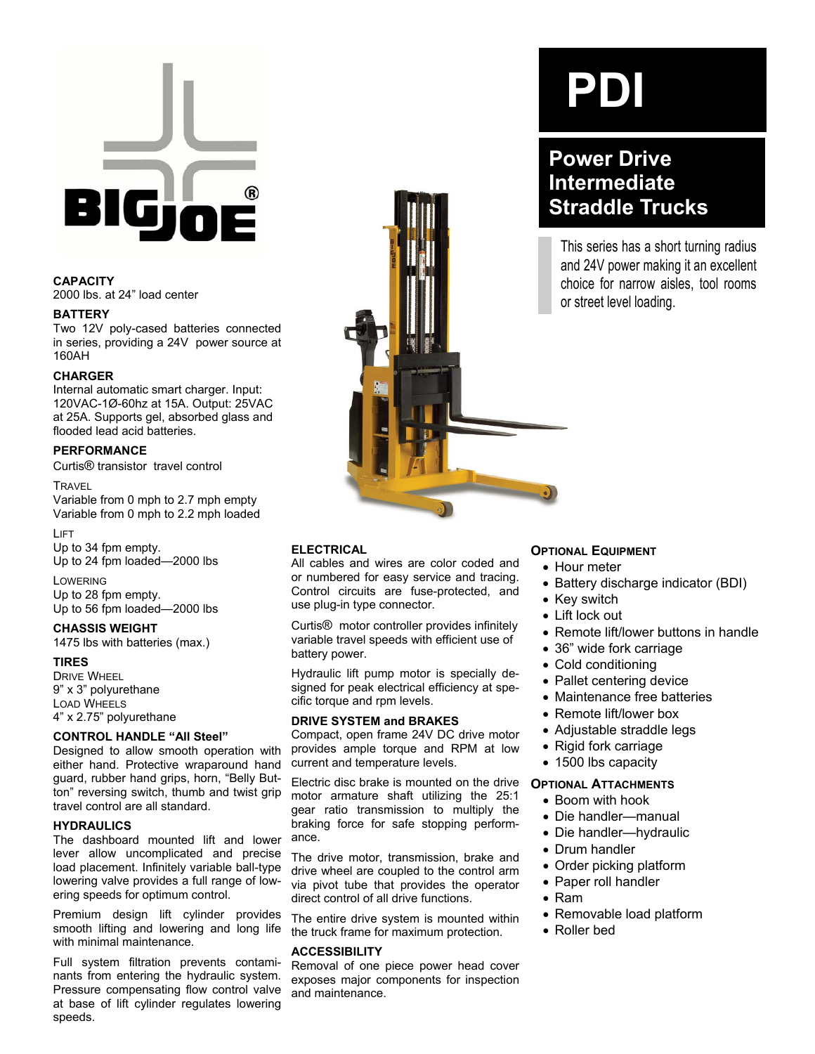

# **CAPACITY**

2000 lbs. at 24" load center

#### **BATTERY**

Two 12V poly-cased batteries connected in series, providing a 24V power source at 160AH

#### **CHARGER**

Internal automatic smart charger. Input: 120VAC-1Ø-60hz at 15A. Output: 25VAC at 25A. Supports gel, absorbed glass and flooded lead acid batteries.

### **PERFORMANCE**

Curtis® transistor travel control

#### **TRAVEL**

Variable from 0 mph to 2.7 mph empty Variable from 0 mph to 2.2 mph loaded

#### LIFT

Up to 34 fpm empty. Up to 24 fpm loaded—2000 lbs

# LOWERING

Up to 28 fpm empty. Up to 56 fpm loaded—2000 lbs

#### **CHASSIS WEIGHT**

1475 lbs with batteries (max.)

#### **TIRES**

DRIVE WHEEL 9" x 3" polyurethane LOAD WHEELS 4" x 2.75" polyurethane

# **CONTROL HANDLE "All Steel"**

Designed to allow smooth operation with either hand. Protective wraparound hand guard, rubber hand grips, horn, "Belly Button" reversing switch, thumb and twist grip travel control are all standard.

#### **HYDRAULICS**

The dashboard mounted lift and lower lever allow uncomplicated and precise load placement. Infinitely variable ball-type lowering valve provides a full range of lowering speeds for optimum control.

Premium design lift cylinder provides smooth lifting and lowering and long life with minimal maintenance.

Full system filtration prevents contaminants from entering the hydraulic system. Pressure compensating flow control valve at base of lift cylinder regulates lowering speeds.

# **ELECTRICAL**

All cables and wires are color coded and or numbered for easy service and tracing. Control circuits are fuse-protected, and use plug-in type connector.

Curtis® motor controller provides infinitely variable travel speeds with efficient use of battery power.

Hydraulic lift pump motor is specially designed for peak electrical efficiency at specific torque and rpm levels.

#### **DRIVE SYSTEM and BRAKES**

Compact, open frame 24V DC drive motor provides ample torque and RPM at low current and temperature levels.

Electric disc brake is mounted on the drive motor armature shaft utilizing the 25:1 gear ratio transmission to multiply the braking force for safe stopping performance.

The drive motor, transmission, brake and drive wheel are coupled to the control arm via pivot tube that provides the operator direct control of all drive functions.

The entire drive system is mounted within the truck frame for maximum protection.

#### **ACCESSIBILITY**

Removal of one piece power head cover exposes major components for inspection and maintenance.

# **PDI**

# **Power Drive Intermediate Straddle Trucks**

This series has a short turning radius and 24V power making it an excellent choice for narrow aisles, tool rooms or street level loading.

#### **OPTIONAL EQUIPMENT**

- Hour meter
- Battery discharge indicator (BDI)
- Key switch
- Lift lock out
- Remote lift/lower buttons in handle
- 36" wide fork carriage
- Cold conditioning
- Pallet centering device
- Maintenance free batteries
- Remote lift/lower box
- Adjustable straddle legs
- Rigid fork carriage
- 1500 lbs capacity

#### **OPTIONAL ATTACHMENTS**

- Boom with hook
- Die handler—manual
- Die handler—hydraulic
- Drum handler
- Order picking platform
- Paper roll handler
- Ram
- Removable load platform
- Roller bed